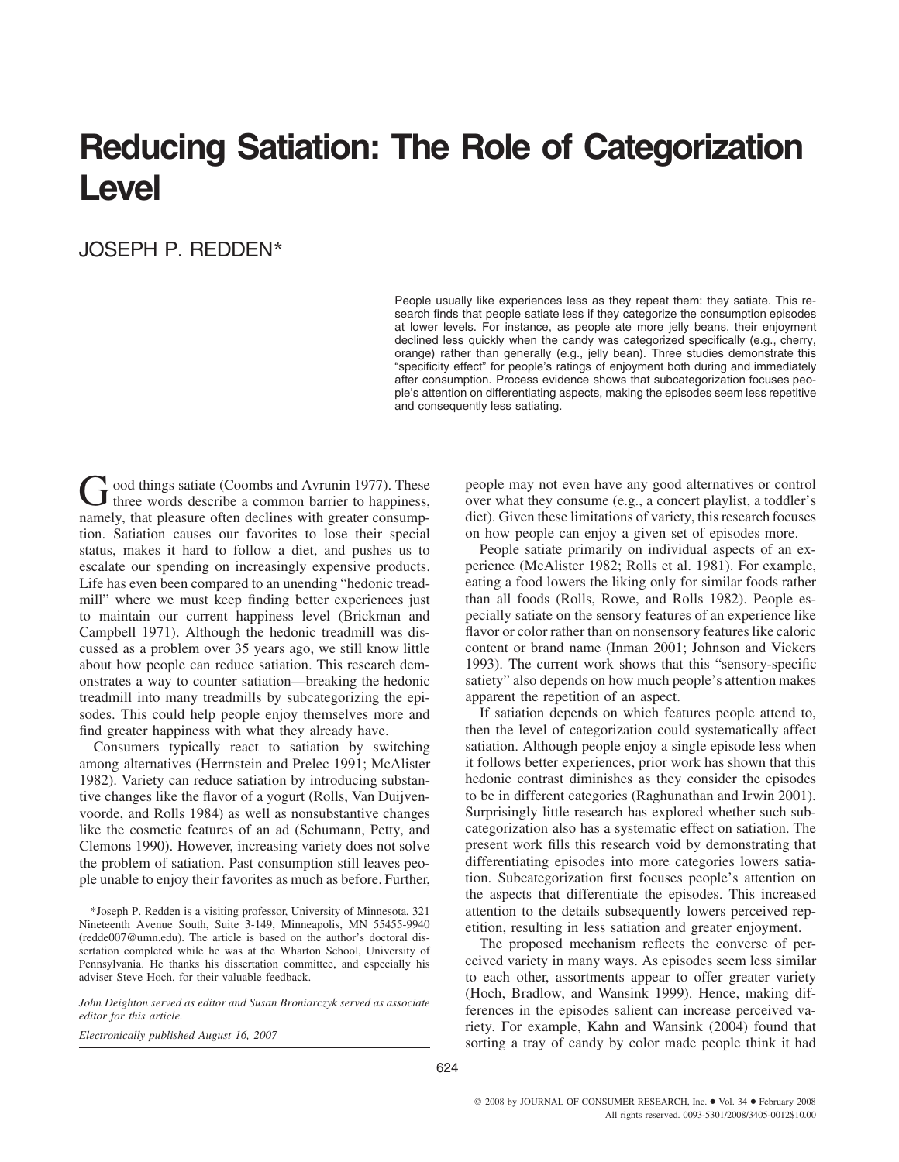# **Reducing Satiation: The Role of Categorization Level**

JOSEPH P. REDDEN\*

People usually like experiences less as they repeat them: they satiate. This research finds that people satiate less if they categorize the consumption episodes at lower levels. For instance, as people ate more jelly beans, their enjoyment declined less quickly when the candy was categorized specifically (e.g., cherry, orange) rather than generally (e.g., jelly bean). Three studies demonstrate this "specificity effect" for people's ratings of enjoyment both during and immediately after consumption. Process evidence shows that subcategorization focuses people's attention on differentiating aspects, making the episodes seem less repetitive and consequently less satiating.

Good things satiate (Coombs and Avrunin 1977). These<br>three words describe a common barrier to happiness, namely, that pleasure often declines with greater consumption. Satiation causes our favorites to lose their special status, makes it hard to follow a diet, and pushes us to escalate our spending on increasingly expensive products. Life has even been compared to an unending "hedonic treadmill" where we must keep finding better experiences just to maintain our current happiness level (Brickman and Campbell 1971). Although the hedonic treadmill was discussed as a problem over 35 years ago, we still know little about how people can reduce satiation. This research demonstrates a way to counter satiation—breaking the hedonic treadmill into many treadmills by subcategorizing the episodes. This could help people enjoy themselves more and find greater happiness with what they already have.

Consumers typically react to satiation by switching among alternatives (Herrnstein and Prelec 1991; McAlister 1982). Variety can reduce satiation by introducing substantive changes like the flavor of a yogurt (Rolls, Van Duijvenvoorde, and Rolls 1984) as well as nonsubstantive changes like the cosmetic features of an ad (Schumann, Petty, and Clemons 1990). However, increasing variety does not solve the problem of satiation. Past consumption still leaves people unable to enjoy their favorites as much as before. Further,

*John Deighton served as editor and Susan Broniarczyk served as associate editor for this article.*

*Electronically published August 16, 2007*

people may not even have any good alternatives or control over what they consume (e.g., a concert playlist, a toddler's diet). Given these limitations of variety, this research focuses on how people can enjoy a given set of episodes more.

People satiate primarily on individual aspects of an experience (McAlister 1982; Rolls et al. 1981). For example, eating a food lowers the liking only for similar foods rather than all foods (Rolls, Rowe, and Rolls 1982). People especially satiate on the sensory features of an experience like flavor or color rather than on nonsensory features like caloric content or brand name (Inman 2001; Johnson and Vickers 1993). The current work shows that this "sensory-specific satiety" also depends on how much people's attention makes apparent the repetition of an aspect.

If satiation depends on which features people attend to, then the level of categorization could systematically affect satiation. Although people enjoy a single episode less when it follows better experiences, prior work has shown that this hedonic contrast diminishes as they consider the episodes to be in different categories (Raghunathan and Irwin 2001). Surprisingly little research has explored whether such subcategorization also has a systematic effect on satiation. The present work fills this research void by demonstrating that differentiating episodes into more categories lowers satiation. Subcategorization first focuses people's attention on the aspects that differentiate the episodes. This increased attention to the details subsequently lowers perceived repetition, resulting in less satiation and greater enjoyment.

The proposed mechanism reflects the converse of perceived variety in many ways. As episodes seem less similar to each other, assortments appear to offer greater variety (Hoch, Bradlow, and Wansink 1999). Hence, making differences in the episodes salient can increase perceived variety. For example, Kahn and Wansink (2004) found that sorting a tray of candy by color made people think it had

<sup>\*</sup>Joseph P. Redden is a visiting professor, University of Minnesota, 321 Nineteenth Avenue South, Suite 3-149, Minneapolis, MN 55455-9940 (redde007@umn.edu). The article is based on the author's doctoral dissertation completed while he was at the Wharton School, University of Pennsylvania. He thanks his dissertation committee, and especially his adviser Steve Hoch, for their valuable feedback.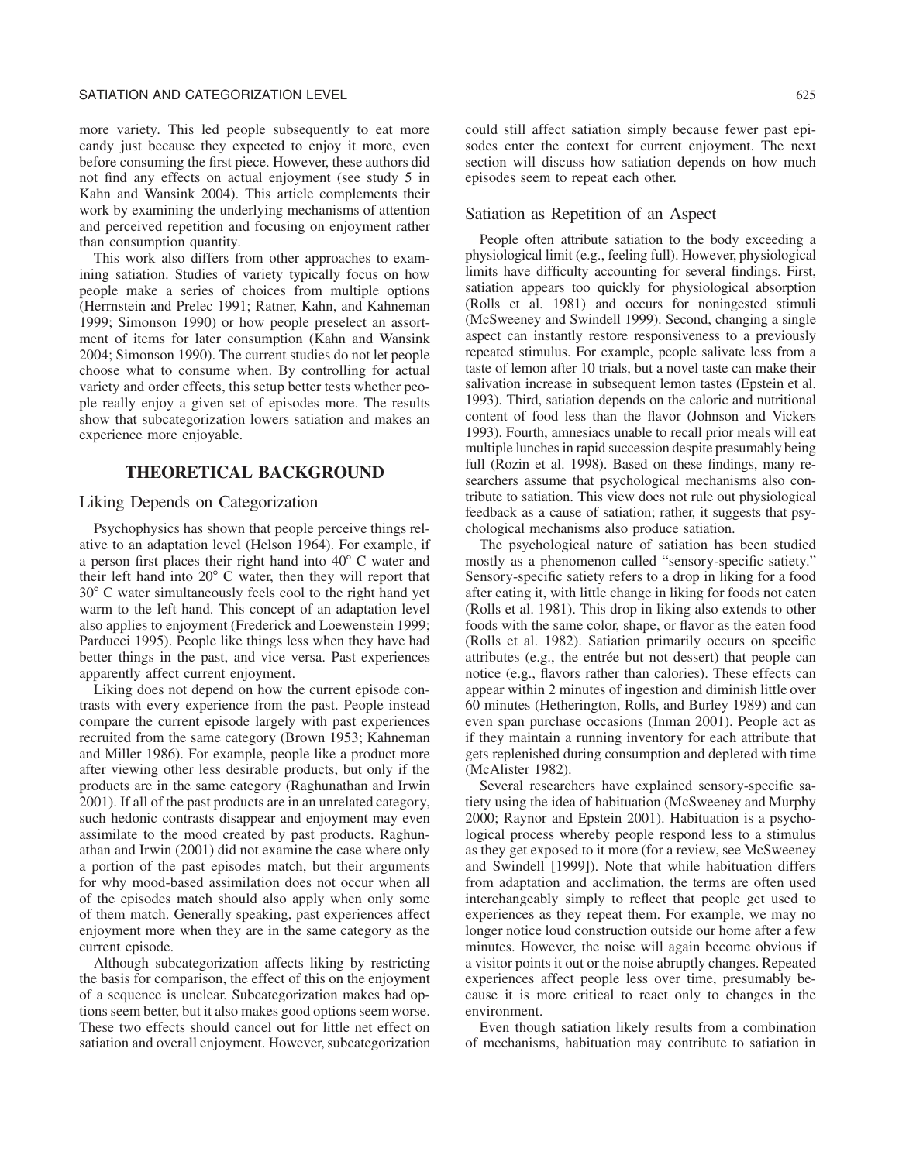#### SATIATION AND CATEGORIZATION LEVEL **EXECUTE 120 ACCESS 120 ACCESS 120 ACCESS** 625

more variety. This led people subsequently to eat more candy just because they expected to enjoy it more, even before consuming the first piece. However, these authors did not find any effects on actual enjoyment (see study 5 in Kahn and Wansink 2004). This article complements their work by examining the underlying mechanisms of attention and perceived repetition and focusing on enjoyment rather than consumption quantity.

This work also differs from other approaches to examining satiation. Studies of variety typically focus on how people make a series of choices from multiple options (Herrnstein and Prelec 1991; Ratner, Kahn, and Kahneman 1999; Simonson 1990) or how people preselect an assortment of items for later consumption (Kahn and Wansink 2004; Simonson 1990). The current studies do not let people choose what to consume when. By controlling for actual variety and order effects, this setup better tests whether people really enjoy a given set of episodes more. The results show that subcategorization lowers satiation and makes an experience more enjoyable.

# **THEORETICAL BACKGROUND**

## Liking Depends on Categorization

Psychophysics has shown that people perceive things relative to an adaptation level (Helson 1964). For example, if a person first places their right hand into  $40^{\circ}$  C water and their left hand into  $20^{\circ}$  C water, then they will report that 307 C water simultaneously feels cool to the right hand yet warm to the left hand. This concept of an adaptation level also applies to enjoyment (Frederick and Loewenstein 1999; Parducci 1995). People like things less when they have had better things in the past, and vice versa. Past experiences apparently affect current enjoyment.

Liking does not depend on how the current episode contrasts with every experience from the past. People instead compare the current episode largely with past experiences recruited from the same category (Brown 1953; Kahneman and Miller 1986). For example, people like a product more after viewing other less desirable products, but only if the products are in the same category (Raghunathan and Irwin 2001). If all of the past products are in an unrelated category, such hedonic contrasts disappear and enjoyment may even assimilate to the mood created by past products. Raghunathan and Irwin (2001) did not examine the case where only a portion of the past episodes match, but their arguments for why mood-based assimilation does not occur when all of the episodes match should also apply when only some of them match. Generally speaking, past experiences affect enjoyment more when they are in the same category as the current episode.

Although subcategorization affects liking by restricting the basis for comparison, the effect of this on the enjoyment of a sequence is unclear. Subcategorization makes bad options seem better, but it also makes good options seem worse. These two effects should cancel out for little net effect on satiation and overall enjoyment. However, subcategorization could still affect satiation simply because fewer past episodes enter the context for current enjoyment. The next section will discuss how satiation depends on how much episodes seem to repeat each other.

# Satiation as Repetition of an Aspect

People often attribute satiation to the body exceeding a physiological limit (e.g., feeling full). However, physiological limits have difficulty accounting for several findings. First, satiation appears too quickly for physiological absorption (Rolls et al. 1981) and occurs for noningested stimuli (McSweeney and Swindell 1999). Second, changing a single aspect can instantly restore responsiveness to a previously repeated stimulus. For example, people salivate less from a taste of lemon after 10 trials, but a novel taste can make their salivation increase in subsequent lemon tastes (Epstein et al. 1993). Third, satiation depends on the caloric and nutritional content of food less than the flavor (Johnson and Vickers 1993). Fourth, amnesiacs unable to recall prior meals will eat multiple lunches in rapid succession despite presumably being full (Rozin et al. 1998). Based on these findings, many researchers assume that psychological mechanisms also contribute to satiation. This view does not rule out physiological feedback as a cause of satiation; rather, it suggests that psychological mechanisms also produce satiation.

The psychological nature of satiation has been studied mostly as a phenomenon called "sensory-specific satiety." Sensory-specific satiety refers to a drop in liking for a food after eating it, with little change in liking for foods not eaten (Rolls et al. 1981). This drop in liking also extends to other foods with the same color, shape, or flavor as the eaten food (Rolls et al. 1982). Satiation primarily occurs on specific attributes (e.g., the entrée but not dessert) that people can notice (e.g., flavors rather than calories). These effects can appear within 2 minutes of ingestion and diminish little over 60 minutes (Hetherington, Rolls, and Burley 1989) and can even span purchase occasions (Inman 2001). People act as if they maintain a running inventory for each attribute that gets replenished during consumption and depleted with time (McAlister 1982).

Several researchers have explained sensory-specific satiety using the idea of habituation (McSweeney and Murphy 2000; Raynor and Epstein 2001). Habituation is a psychological process whereby people respond less to a stimulus as they get exposed to it more (for a review, see McSweeney and Swindell [1999]). Note that while habituation differs from adaptation and acclimation, the terms are often used interchangeably simply to reflect that people get used to experiences as they repeat them. For example, we may no longer notice loud construction outside our home after a few minutes. However, the noise will again become obvious if a visitor points it out or the noise abruptly changes. Repeated experiences affect people less over time, presumably because it is more critical to react only to changes in the environment.

Even though satiation likely results from a combination of mechanisms, habituation may contribute to satiation in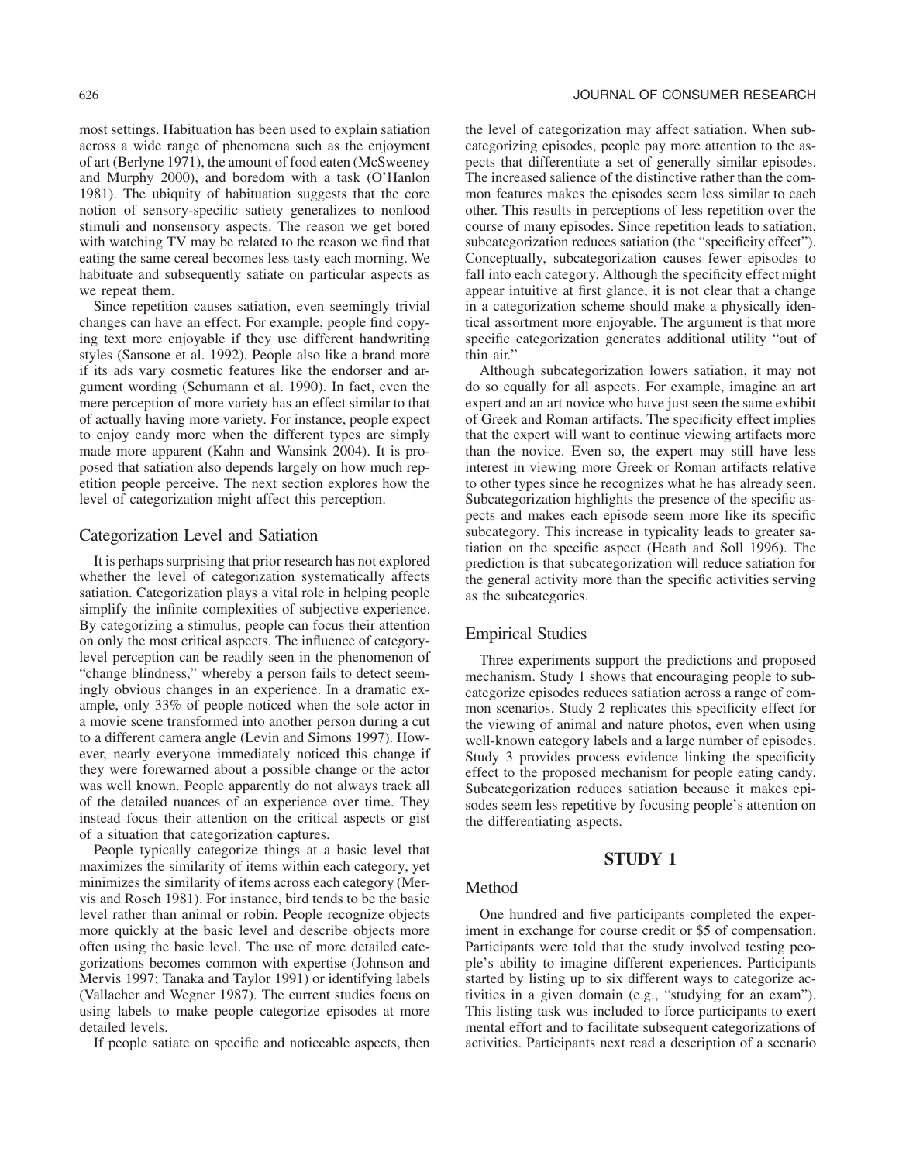most settings. Habituation has been used to explain satiation across a wide range of phenomena such as the enjoyment of art (Berlyne 1971), the amount of food eaten (McSweeney and Murphy 2000), and boredom with a task (O'Hanlon 1981). The ubiquity of habituation suggests that the core notion of sensory-specific satiety generalizes to nonfood stimuli and nonsensory aspects. The reason we get bored with watching TV may be related to the reason we find that eating the same cereal becomes less tasty each morning. We habituate and subsequently satiate on particular aspects as we repeat them.

Since repetition causes satiation, even seemingly trivial changes can have an effect. For example, people find copying text more enjoyable if they use different handwriting styles (Sansone et al. 1992). People also like a brand more if its ads vary cosmetic features like the endorser and argument wording (Schumann et al. 1990). In fact, even the mere perception of more variety has an effect similar to that of actually having more variety. For instance, people expect to enjoy candy more when the different types are simply made more apparent (Kahn and Wansink 2004). It is proposed that satiation also depends largely on how much repetition people perceive. The next section explores how the level of categorization might affect this perception.

## Categorization Level and Satiation

It is perhaps surprising that prior research has not explored whether the level of categorization systematically affects satiation. Categorization plays a vital role in helping people simplify the infinite complexities of subjective experience. By categorizing a stimulus, people can focus their attention on only the most critical aspects. The influence of categorylevel perception can be readily seen in the phenomenon of "change blindness," whereby a person fails to detect seemingly obvious changes in an experience. In a dramatic example, only 33% of people noticed when the sole actor in a movie scene transformed into another person during a cut to a different camera angle (Levin and Simons 1997). However, nearly everyone immediately noticed this change if they were forewarned about a possible change or the actor was well known. People apparently do not always track all of the detailed nuances of an experience over time. They instead focus their attention on the critical aspects or gist of a situation that categorization captures.

People typically categorize things at a basic level that maximizes the similarity of items within each category, yet minimizes the similarity of items across each category (Mervis and Rosch 1981). For instance, bird tends to be the basic level rather than animal or robin. People recognize objects more quickly at the basic level and describe objects more often using the basic level. The use of more detailed categorizations becomes common with expertise (Johnson and Mervis 1997; Tanaka and Taylor 1991) or identifying labels (Vallacher and Wegner 1987). The current studies focus on using labels to make people categorize episodes at more detailed levels.

If people satiate on specific and noticeable aspects, then

the level of categorization may affect satiation. When subcategorizing episodes, people pay more attention to the aspects that differentiate a set of generally similar episodes. The increased salience of the distinctive rather than the common features makes the episodes seem less similar to each other. This results in perceptions of less repetition over the course of many episodes. Since repetition leads to satiation, subcategorization reduces satiation (the "specificity effect"). Conceptually, subcategorization causes fewer episodes to fall into each category. Although the specificity effect might appear intuitive at first glance, it is not clear that a change in a categorization scheme should make a physically identical assortment more enjoyable. The argument is that more specific categorization generates additional utility "out of thin air."

Although subcategorization lowers satiation, it may not do so equally for all aspects. For example, imagine an art expert and an art novice who have just seen the same exhibit of Greek and Roman artifacts. The specificity effect implies that the expert will want to continue viewing artifacts more than the novice. Even so, the expert may still have less interest in viewing more Greek or Roman artifacts relative to other types since he recognizes what he has already seen. Subcategorization highlights the presence of the specific aspects and makes each episode seem more like its specific subcategory. This increase in typicality leads to greater satiation on the specific aspect (Heath and Soll 1996). The prediction is that subcategorization will reduce satiation for the general activity more than the specific activities serving as the subcategories.

# Empirical Studies

Three experiments support the predictions and proposed mechanism. Study 1 shows that encouraging people to subcategorize episodes reduces satiation across a range of common scenarios. Study 2 replicates this specificity effect for the viewing of animal and nature photos, even when using well-known category labels and a large number of episodes. Study 3 provides process evidence linking the specificity effect to the proposed mechanism for people eating candy. Subcategorization reduces satiation because it makes episodes seem less repetitive by focusing people's attention on the differentiating aspects.

## **STUDY 1**

#### Method

One hundred and five participants completed the experiment in exchange for course credit or \$5 of compensation. Participants were told that the study involved testing people's ability to imagine different experiences. Participants started by listing up to six different ways to categorize activities in a given domain (e.g., "studying for an exam"). This listing task was included to force participants to exert mental effort and to facilitate subsequent categorizations of activities. Participants next read a description of a scenario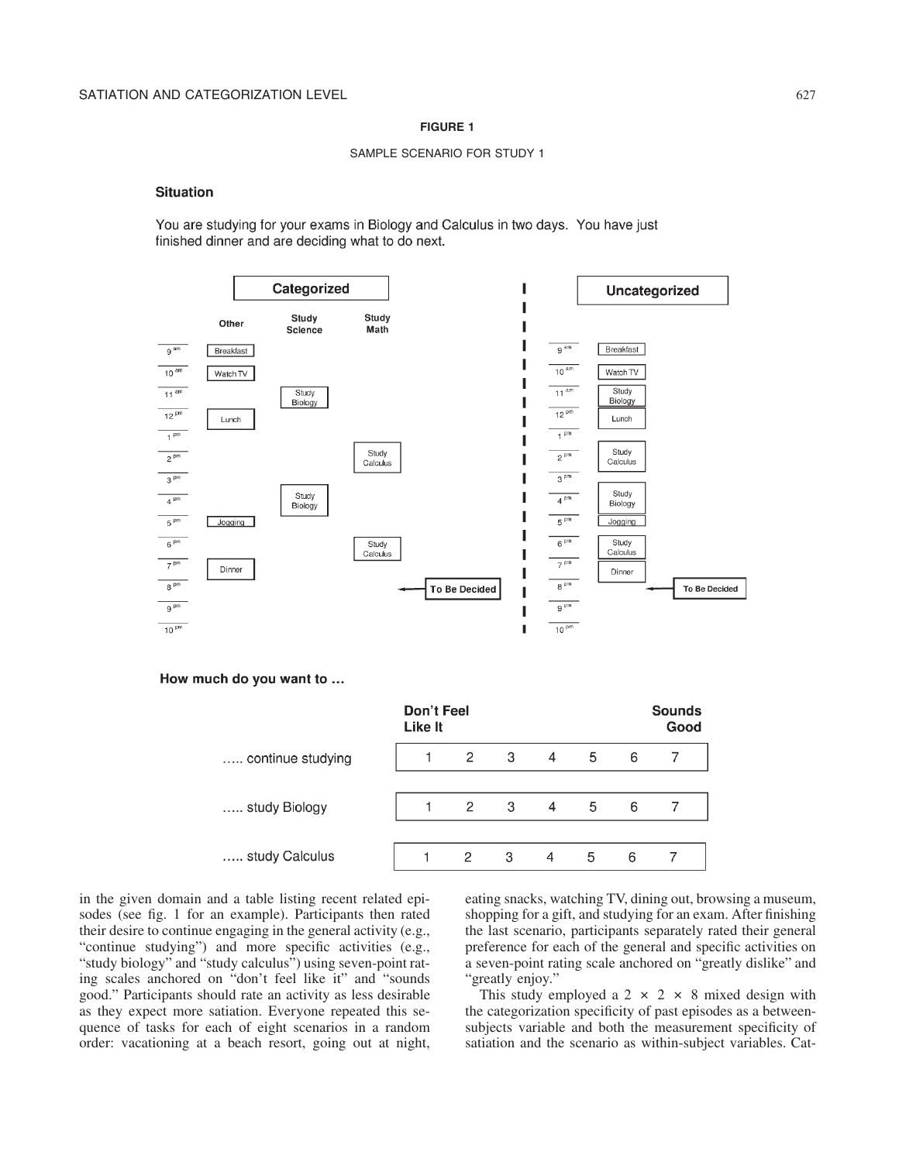#### **FIGURE 1**

#### SAMPLE SCENARIO FOR STUDY 1

#### Situation

You are studying for your exams in Biology and Calculus in two days. You have just finished dinner and are deciding what to do next.



# How much do you want to ...

|                   | Don't Feel<br>Like It |   |                         |   |   |   | <b>Sounds</b><br>Good |
|-------------------|-----------------------|---|-------------------------|---|---|---|-----------------------|
| continue studying |                       | 2 | $\overline{\mathbf{3}}$ | 4 | 5 | 6 |                       |
| study Biology     |                       | 2 | $\mathbf{3}$            | 4 | 5 | 6 |                       |
|                   |                       |   |                         |   |   |   |                       |
| study Calculus    |                       | 2 | 3                       | 4 | 5 | 6 |                       |

in the given domain and a table listing recent related episodes (see fig. 1 for an example). Participants then rated their desire to continue engaging in the general activity (e.g., "continue studying") and more specific activities (e.g., "study biology" and "study calculus") using seven-point rating scales anchored on "don't feel like it" and "sounds good." Participants should rate an activity as less desirable as they expect more satiation. Everyone repeated this sequence of tasks for each of eight scenarios in a random order: vacationing at a beach resort, going out at night, eating snacks, watching TV, dining out, browsing a museum, shopping for a gift, and studying for an exam. After finishing the last scenario, participants separately rated their general preference for each of the general and specific activities on a seven-point rating scale anchored on "greatly dislike" and "greatly enjoy."

This study employed a  $2 \times 2 \times 8$  mixed design with the categorization specificity of past episodes as a betweensubjects variable and both the measurement specificity of satiation and the scenario as within-subject variables. Cat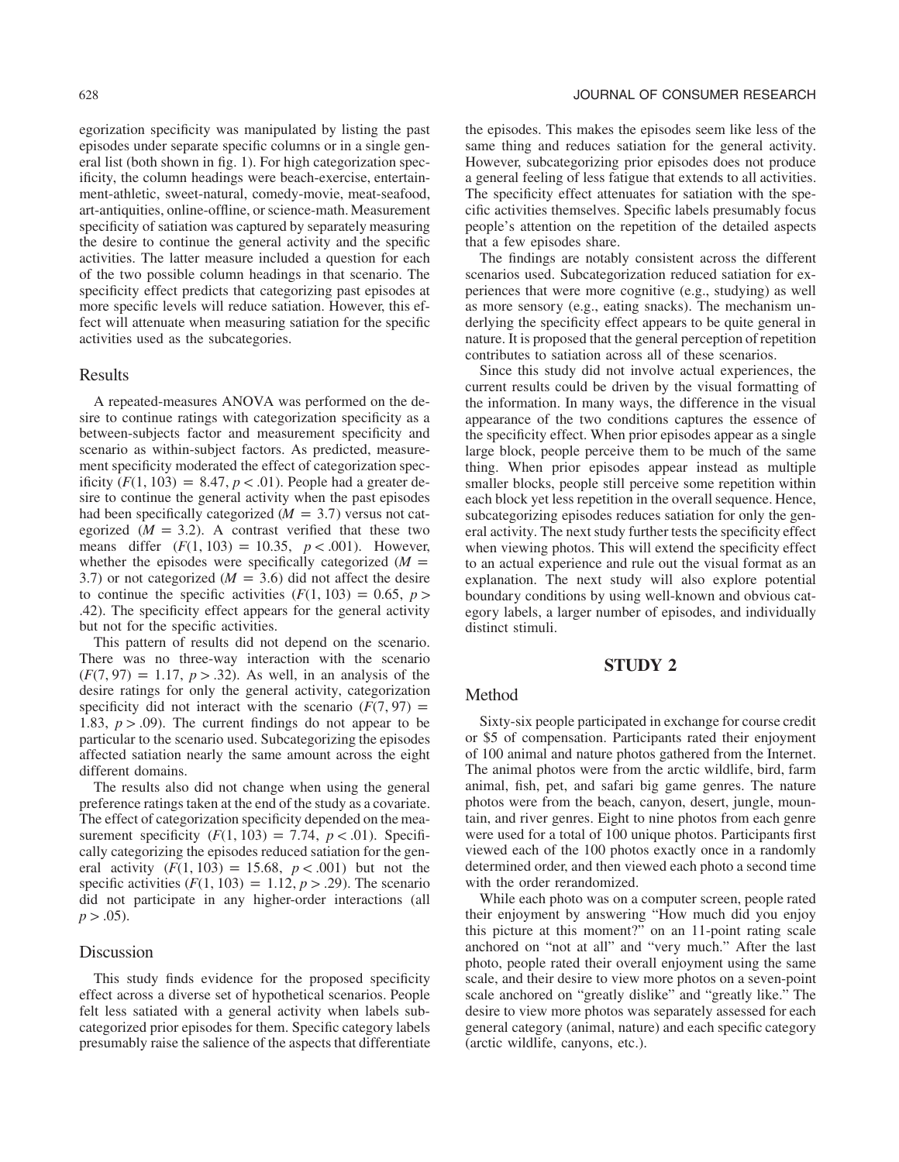egorization specificity was manipulated by listing the past episodes under separate specific columns or in a single general list (both shown in fig. 1). For high categorization specificity, the column headings were beach-exercise, entertainment-athletic, sweet-natural, comedy-movie, meat-seafood, art-antiquities, online-offline, or science-math. Measurement specificity of satiation was captured by separately measuring the desire to continue the general activity and the specific activities. The latter measure included a question for each of the two possible column headings in that scenario. The specificity effect predicts that categorizing past episodes at more specific levels will reduce satiation. However, this effect will attenuate when measuring satiation for the specific activities used as the subcategories.

#### Results

A repeated-measures ANOVA was performed on the desire to continue ratings with categorization specificity as a between-subjects factor and measurement specificity and scenario as within-subject factors. As predicted, measurement specificity moderated the effect of categorization specificity  $(F(1, 103) = 8.47, p < .01)$ . People had a greater desire to continue the general activity when the past episodes had been specifically categorized ( $M = 3.7$ ) versus not categorized  $(M = 3.2)$ . A contrast verified that these two means differ  $(F(1, 103) = 10.35, p < .001)$ . However, whether the episodes were specifically categorized  $(M =$ 3.7) or not categorized ( $M = 3.6$ ) did not affect the desire to continue the specific activities  $(F(1, 103) = 0.65, p >$ .42). The specificity effect appears for the general activity but not for the specific activities.

This pattern of results did not depend on the scenario. There was no three-way interaction with the scenario  $(F(7, 97) = 1.17, p > .32)$ . As well, in an analysis of the desire ratings for only the general activity, categorization specificity did not interact with the scenario  $(F(7, 97)) =$ 1.83,  $p > .09$ ). The current findings do not appear to be particular to the scenario used. Subcategorizing the episodes affected satiation nearly the same amount across the eight different domains.

The results also did not change when using the general preference ratings taken at the end of the study as a covariate. The effect of categorization specificity depended on the measurement specificity  $(F(1, 103) = 7.74, p < .01)$ . Specifically categorizing the episodes reduced satiation for the general activity  $(F(1, 103) = 15.68, p < .001)$  but not the specific activities  $(F(1, 103) = 1.12, p > .29)$ . The scenario did not participate in any higher-order interactions (all  $p > .05$ ).

# Discussion

This study finds evidence for the proposed specificity effect across a diverse set of hypothetical scenarios. People felt less satiated with a general activity when labels subcategorized prior episodes for them. Specific category labels presumably raise the salience of the aspects that differentiate the episodes. This makes the episodes seem like less of the same thing and reduces satiation for the general activity. However, subcategorizing prior episodes does not produce a general feeling of less fatigue that extends to all activities. The specificity effect attenuates for satiation with the specific activities themselves. Specific labels presumably focus people's attention on the repetition of the detailed aspects that a few episodes share.

The findings are notably consistent across the different scenarios used. Subcategorization reduced satiation for experiences that were more cognitive (e.g., studying) as well as more sensory (e.g., eating snacks). The mechanism underlying the specificity effect appears to be quite general in nature. It is proposed that the general perception of repetition contributes to satiation across all of these scenarios.

Since this study did not involve actual experiences, the current results could be driven by the visual formatting of the information. In many ways, the difference in the visual appearance of the two conditions captures the essence of the specificity effect. When prior episodes appear as a single large block, people perceive them to be much of the same thing. When prior episodes appear instead as multiple smaller blocks, people still perceive some repetition within each block yet less repetition in the overall sequence. Hence, subcategorizing episodes reduces satiation for only the general activity. The next study further tests the specificity effect when viewing photos. This will extend the specificity effect to an actual experience and rule out the visual format as an explanation. The next study will also explore potential boundary conditions by using well-known and obvious category labels, a larger number of episodes, and individually distinct stimuli.

## **STUDY 2**

## Method

Sixty-six people participated in exchange for course credit or \$5 of compensation. Participants rated their enjoyment of 100 animal and nature photos gathered from the Internet. The animal photos were from the arctic wildlife, bird, farm animal, fish, pet, and safari big game genres. The nature photos were from the beach, canyon, desert, jungle, mountain, and river genres. Eight to nine photos from each genre were used for a total of 100 unique photos. Participants first viewed each of the 100 photos exactly once in a randomly determined order, and then viewed each photo a second time with the order rerandomized.

While each photo was on a computer screen, people rated their enjoyment by answering "How much did you enjoy this picture at this moment?" on an 11-point rating scale anchored on "not at all" and "very much." After the last photo, people rated their overall enjoyment using the same scale, and their desire to view more photos on a seven-point scale anchored on "greatly dislike" and "greatly like." The desire to view more photos was separately assessed for each general category (animal, nature) and each specific category (arctic wildlife, canyons, etc.).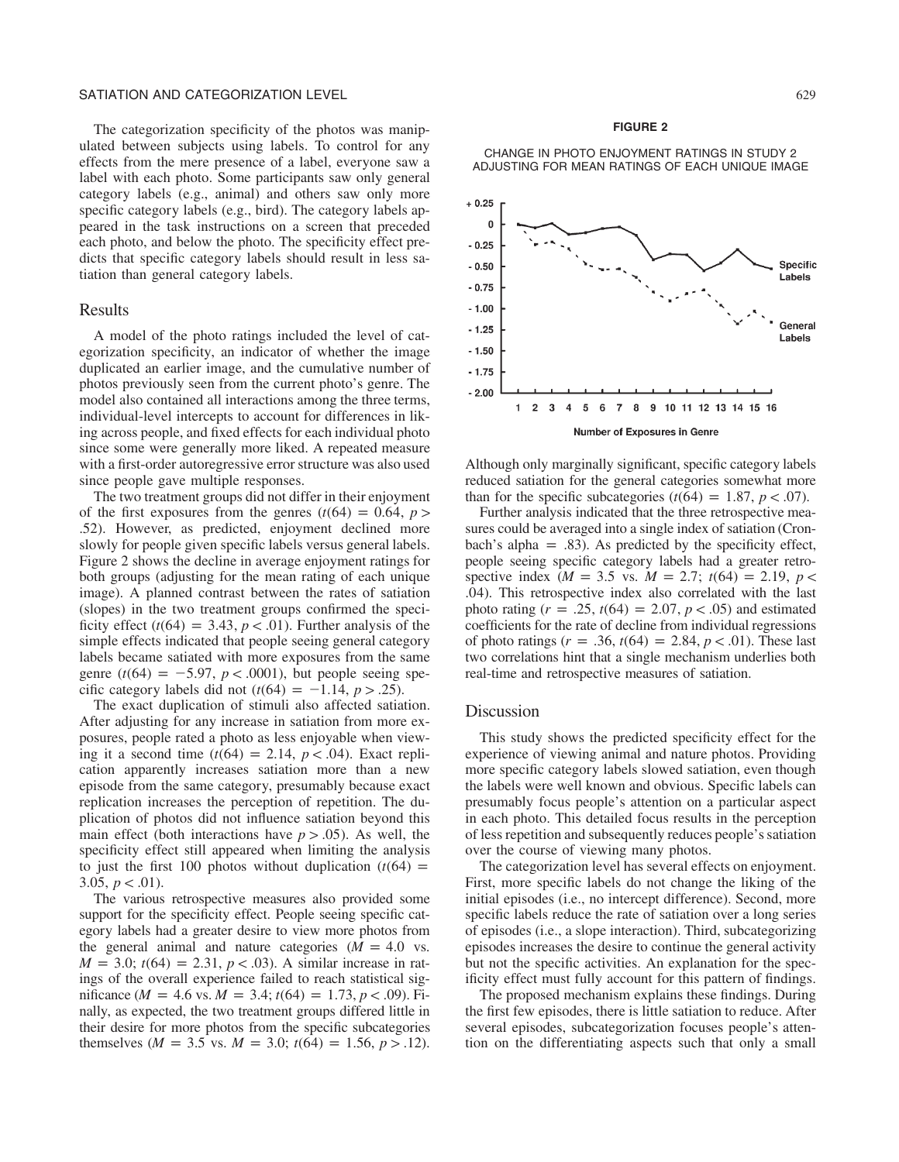#### SATIATION AND CATEGORIZATION LEVEL 629

The categorization specificity of the photos was manipulated between subjects using labels. To control for any effects from the mere presence of a label, everyone saw a label with each photo. Some participants saw only general category labels (e.g., animal) and others saw only more specific category labels (e.g., bird). The category labels appeared in the task instructions on a screen that preceded each photo, and below the photo. The specificity effect predicts that specific category labels should result in less satiation than general category labels.

# Results

A model of the photo ratings included the level of categorization specificity, an indicator of whether the image duplicated an earlier image, and the cumulative number of photos previously seen from the current photo's genre. The model also contained all interactions among the three terms, individual-level intercepts to account for differences in liking across people, and fixed effects for each individual photo since some were generally more liked. A repeated measure with a first-order autoregressive error structure was also used since people gave multiple responses.

The two treatment groups did not differ in their enjoyment of the first exposures from the genres  $(t(64) = 0.64, p >$ .52). However, as predicted, enjoyment declined more slowly for people given specific labels versus general labels. Figure 2 shows the decline in average enjoyment ratings for both groups (adjusting for the mean rating of each unique image). A planned contrast between the rates of satiation (slopes) in the two treatment groups confirmed the specificity effect  $(t(64) = 3.43, p < .01)$ . Further analysis of the simple effects indicated that people seeing general category labels became satiated with more exposures from the same genre  $(t(64) = -5.97, p < .0001)$ , but people seeing specific category labels did not  $(t(64) = -1.14, p > .25)$ .

The exact duplication of stimuli also affected satiation. After adjusting for any increase in satiation from more exposures, people rated a photo as less enjoyable when viewing it a second time  $(t(64) = 2.14, p < .04)$ . Exact replication apparently increases satiation more than a new episode from the same category, presumably because exact replication increases the perception of repetition. The duplication of photos did not influence satiation beyond this main effect (both interactions have  $p > .05$ ). As well, the specificity effect still appeared when limiting the analysis to just the first 100 photos without duplication  $(t(64) =$ 3.05,  $p < .01$ ).

The various retrospective measures also provided some support for the specificity effect. People seeing specific category labels had a greater desire to view more photos from the general animal and nature categories  $(M = 4.0 \text{ vs.})$  $M = 3.0$ ;  $t(64) = 2.31$ ,  $p < .03$ ). A similar increase in ratings of the overall experience failed to reach statistical significance ( $M = 4.6$  vs.  $M = 3.4$ ;  $t(64) = 1.73$ ,  $p < .09$ ). Finally, as expected, the two treatment groups differed little in their desire for more photos from the specific subcategories themselves ( $M = 3.5$  vs.  $M = 3.0$ ;  $t(64) = 1.56$ ,  $p > .12$ ).

#### **FIGURE 2**

#### CHANGE IN PHOTO ENJOYMENT RATINGS IN STUDY 2 ADJUSTING FOR MEAN RATINGS OF EACH UNIQUE IMAGE



Although only marginally significant, specific category labels reduced satiation for the general categories somewhat more than for the specific subcategories  $(t(64) = 1.87, p < .07)$ .

Further analysis indicated that the three retrospective measures could be averaged into a single index of satiation (Cronbach's alpha  $= .83$ ). As predicted by the specificity effect, people seeing specific category labels had a greater retrospective index ( $M = 3.5$  vs.  $M = 2.7$ ;  $t(64) = 2.19$ ,  $p <$ .04). This retrospective index also correlated with the last photo rating  $(r = .25, t(64) = 2.07, p < .05)$  and estimated coefficients for the rate of decline from individual regressions of photo ratings  $(r = .36, t(64) = 2.84, p < .01)$ . These last two correlations hint that a single mechanism underlies both real-time and retrospective measures of satiation.

# Discussion

This study shows the predicted specificity effect for the experience of viewing animal and nature photos. Providing more specific category labels slowed satiation, even though the labels were well known and obvious. Specific labels can presumably focus people's attention on a particular aspect in each photo. This detailed focus results in the perception of less repetition and subsequently reduces people's satiation over the course of viewing many photos.

The categorization level has several effects on enjoyment. First, more specific labels do not change the liking of the initial episodes (i.e., no intercept difference). Second, more specific labels reduce the rate of satiation over a long series of episodes (i.e., a slope interaction). Third, subcategorizing episodes increases the desire to continue the general activity but not the specific activities. An explanation for the specificity effect must fully account for this pattern of findings.

The proposed mechanism explains these findings. During the first few episodes, there is little satiation to reduce. After several episodes, subcategorization focuses people's attention on the differentiating aspects such that only a small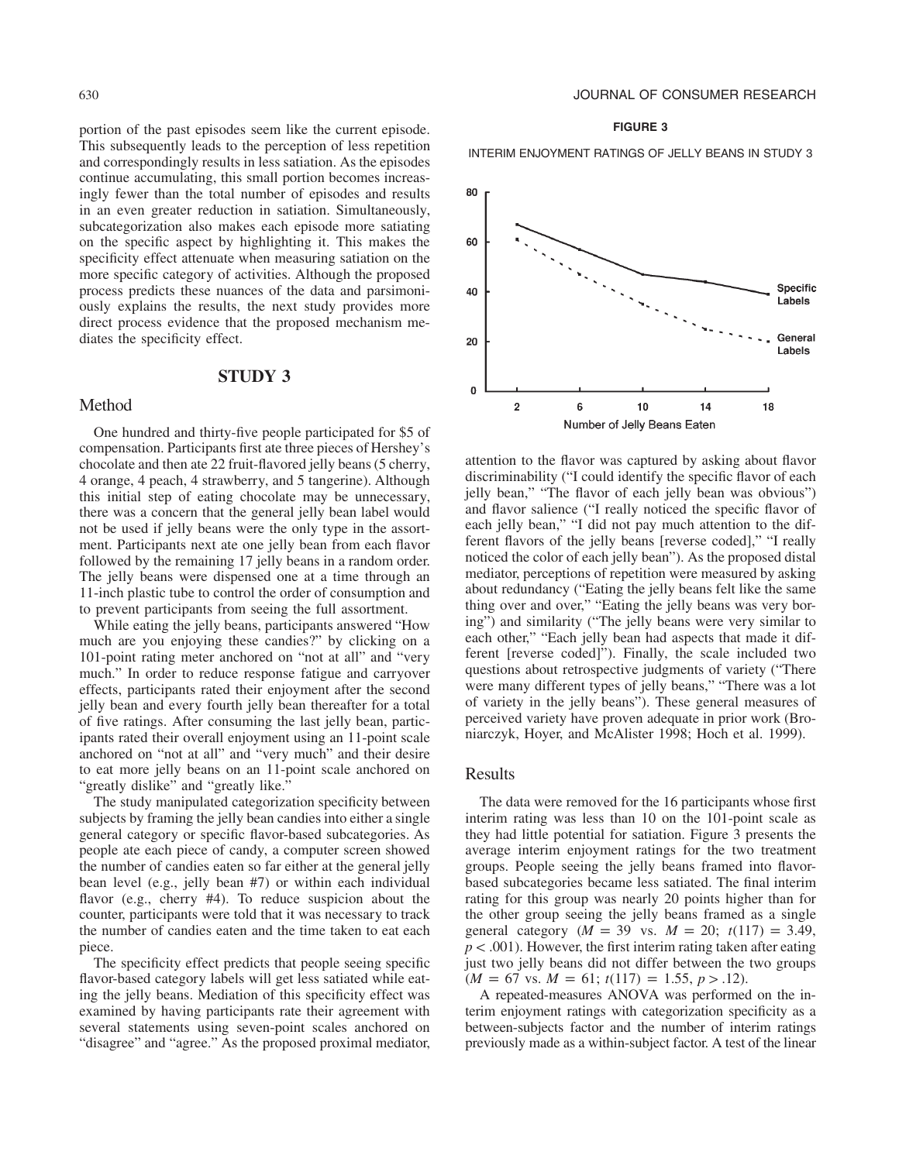portion of the past episodes seem like the current episode. This subsequently leads to the perception of less repetition and correspondingly results in less satiation. As the episodes continue accumulating, this small portion becomes increasingly fewer than the total number of episodes and results in an even greater reduction in satiation. Simultaneously, subcategorization also makes each episode more satiating on the specific aspect by highlighting it. This makes the specificity effect attenuate when measuring satiation on the more specific category of activities. Although the proposed process predicts these nuances of the data and parsimoniously explains the results, the next study provides more direct process evidence that the proposed mechanism mediates the specificity effect.

## **STUDY 3**

#### Method

One hundred and thirty-five people participated for \$5 of compensation. Participants first ate three pieces of Hershey's chocolate and then ate 22 fruit-flavored jelly beans (5 cherry, 4 orange, 4 peach, 4 strawberry, and 5 tangerine). Although this initial step of eating chocolate may be unnecessary, there was a concern that the general jelly bean label would not be used if jelly beans were the only type in the assortment. Participants next ate one jelly bean from each flavor followed by the remaining 17 jelly beans in a random order. The jelly beans were dispensed one at a time through an 11-inch plastic tube to control the order of consumption and to prevent participants from seeing the full assortment.

While eating the jelly beans, participants answered "How much are you enjoying these candies?" by clicking on a 101-point rating meter anchored on "not at all" and "very much." In order to reduce response fatigue and carryover effects, participants rated their enjoyment after the second jelly bean and every fourth jelly bean thereafter for a total of five ratings. After consuming the last jelly bean, participants rated their overall enjoyment using an 11-point scale anchored on "not at all" and "very much" and their desire to eat more jelly beans on an 11-point scale anchored on "greatly dislike" and "greatly like."

The study manipulated categorization specificity between subjects by framing the jelly bean candies into either a single general category or specific flavor-based subcategories. As people ate each piece of candy, a computer screen showed the number of candies eaten so far either at the general jelly bean level (e.g., jelly bean #7) or within each individual flavor (e.g., cherry #4). To reduce suspicion about the counter, participants were told that it was necessary to track the number of candies eaten and the time taken to eat each piece.

The specificity effect predicts that people seeing specific flavor-based category labels will get less satiated while eating the jelly beans. Mediation of this specificity effect was examined by having participants rate their agreement with several statements using seven-point scales anchored on "disagree" and "agree." As the proposed proximal mediator,

#### **FIGURE 3**

## INTERIM ENJOYMENT RATINGS OF JELLY BEANS IN STUDY 3



attention to the flavor was captured by asking about flavor discriminability ("I could identify the specific flavor of each jelly bean," "The flavor of each jelly bean was obvious") and flavor salience ("I really noticed the specific flavor of each jelly bean," "I did not pay much attention to the different flavors of the jelly beans [reverse coded]," "I really noticed the color of each jelly bean"). As the proposed distal mediator, perceptions of repetition were measured by asking about redundancy ("Eating the jelly beans felt like the same thing over and over," "Eating the jelly beans was very boring") and similarity ("The jelly beans were very similar to each other," "Each jelly bean had aspects that made it different [reverse coded]"). Finally, the scale included two questions about retrospective judgments of variety ("There were many different types of jelly beans," "There was a lot of variety in the jelly beans"). These general measures of perceived variety have proven adequate in prior work (Broniarczyk, Hoyer, and McAlister 1998; Hoch et al. 1999).

## Results

The data were removed for the 16 participants whose first interim rating was less than 10 on the 101-point scale as they had little potential for satiation. Figure 3 presents the average interim enjoyment ratings for the two treatment groups. People seeing the jelly beans framed into flavorbased subcategories became less satiated. The final interim rating for this group was nearly 20 points higher than for the other group seeing the jelly beans framed as a single general category  $(M = 39 \text{ vs. } M = 20; t(117) = 3.49,$  $p < .001$ ). However, the first interim rating taken after eating just two jelly beans did not differ between the two groups  $(M = 67 \text{ vs. } M = 61; t(117) = 1.55, p > .12).$ 

A repeated-measures ANOVA was performed on the interim enjoyment ratings with categorization specificity as a between-subjects factor and the number of interim ratings previously made as a within-subject factor. A test of the linear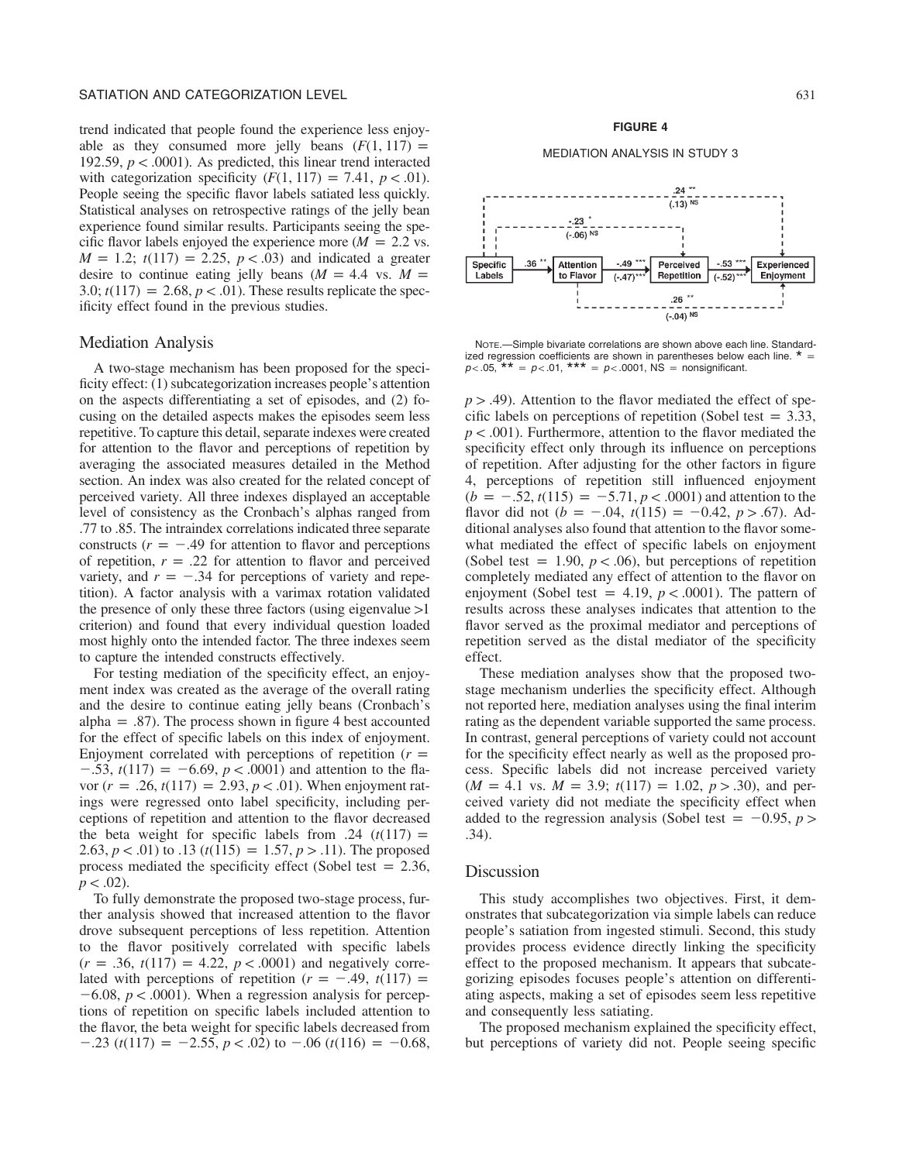trend indicated that people found the experience less enjoyable as they consumed more jelly beans  $(F(1, 117)) =$ 192.59,  $p < .0001$ ). As predicted, this linear trend interacted with categorization specificity  $(F(1, 117) = 7.41, p < .01)$ . People seeing the specific flavor labels satiated less quickly. Statistical analyses on retrospective ratings of the jelly bean experience found similar results. Participants seeing the specific flavor labels enjoyed the experience more  $(M = 2.2 \text{ vs.})$  $M = 1.2$ ;  $t(117) = 2.25$ ,  $p < .03$  and indicated a greater desire to continue eating jelly beans  $(M = 4.4 \text{ vs. } M =$ 3.0;  $t(117) = 2.68, p < .01$ ). These results replicate the specificity effect found in the previous studies.

## Mediation Analysis

A two-stage mechanism has been proposed for the specificity effect: (1) subcategorization increases people's attention on the aspects differentiating a set of episodes, and (2) focusing on the detailed aspects makes the episodes seem less repetitive. To capture this detail, separate indexes were created for attention to the flavor and perceptions of repetition by averaging the associated measures detailed in the Method section. An index was also created for the related concept of perceived variety. All three indexes displayed an acceptable level of consistency as the Cronbach's alphas ranged from .77 to .85. The intraindex correlations indicated three separate constructs ( $r = -.49$  for attention to flavor and perceptions of repetition,  $r = .22$  for attention to flavor and perceived variety, and  $r = -.34$  for perceptions of variety and repetition). A factor analysis with a varimax rotation validated the presence of only these three factors (using eigenvalue  $>1$ criterion) and found that every individual question loaded most highly onto the intended factor. The three indexes seem to capture the intended constructs effectively.

For testing mediation of the specificity effect, an enjoyment index was created as the average of the overall rating and the desire to continue eating jelly beans (Cronbach's alpha  $= .87$ ). The process shown in figure 4 best accounted for the effect of specific labels on this index of enjoyment. Enjoyment correlated with perceptions of repetition  $(r =$  $-0.53$ ,  $t(117) = -0.69$ ,  $p < .0001$  and attention to the flavor  $(r = .26, t(117) = 2.93, p < .01)$ . When enjoyment ratings were regressed onto label specificity, including perceptions of repetition and attention to the flavor decreased the beta weight for specific labels from .24  $(t(117) =$ 2.63,  $p < .01$ ) to .13 ( $t(115) = 1.57$ ,  $p > .11$ ). The proposed process mediated the specificity effect (Sobel test  $= 2.36$ ,  $p < .02$ ).

To fully demonstrate the proposed two-stage process, further analysis showed that increased attention to the flavor drove subsequent perceptions of less repetition. Attention to the flavor positively correlated with specific labels  $(r = .36, t(117) = 4.22, p < .0001)$  and negatively correlated with perceptions of repetition  $(r = -.49, t(117)) =$  $-6.08$ ,  $p < .0001$ ). When a regression analysis for perceptions of repetition on specific labels included attention to the flavor, the beta weight for specific labels decreased from  $-0.23$  ( $t(117) = -2.55$ ,  $p < 0.02$ ) to  $-0.06$  ( $t(116) = -0.68$ ,

#### **FIGURE 4**

#### MEDIATION ANALYSIS IN STUDY 3



NOTE.—Simple bivariate correlations are shown above each line. Standardized regression coefficients are shown in parentheses below each line.  $* =$  $p < .05$ , \*\* =  $p < .01$ , \*\*\* =  $p < .0001$ , NS = nonsignificant.

 $p > .49$ ). Attention to the flavor mediated the effect of specific labels on perceptions of repetition (Sobel test  $= 3.33$ ,  $p < .001$ ). Furthermore, attention to the flavor mediated the specificity effect only through its influence on perceptions of repetition. After adjusting for the other factors in figure 4, perceptions of repetition still influenced enjoyment  $(b = -.52, t(115) = -5.71, p < .0001)$  and attention to the flavor did not ( $b = -.04$ ,  $t(115) = -0.42$ ,  $p > .67$ ). Additional analyses also found that attention to the flavor somewhat mediated the effect of specific labels on enjoyment (Sobel test  $p = 1.90, p < 0.06$ ), but perceptions of repetition completely mediated any effect of attention to the flavor on enjoyment (Sobel test  $p = 4.19$ ,  $p < .0001$ ). The pattern of results across these analyses indicates that attention to the flavor served as the proximal mediator and perceptions of repetition served as the distal mediator of the specificity effect.

These mediation analyses show that the proposed twostage mechanism underlies the specificity effect. Although not reported here, mediation analyses using the final interim rating as the dependent variable supported the same process. In contrast, general perceptions of variety could not account for the specificity effect nearly as well as the proposed process. Specific labels did not increase perceived variety  $(M = 4.1 \text{ vs. } M = 3.9; t(117) = 1.02, p > .30)$ , and perceived variety did not mediate the specificity effect when added to the regression analysis (Sobel test  $= -0.95, p >$ .34).

# Discussion

This study accomplishes two objectives. First, it demonstrates that subcategorization via simple labels can reduce people's satiation from ingested stimuli. Second, this study provides process evidence directly linking the specificity effect to the proposed mechanism. It appears that subcategorizing episodes focuses people's attention on differentiating aspects, making a set of episodes seem less repetitive and consequently less satiating.

The proposed mechanism explained the specificity effect, but perceptions of variety did not. People seeing specific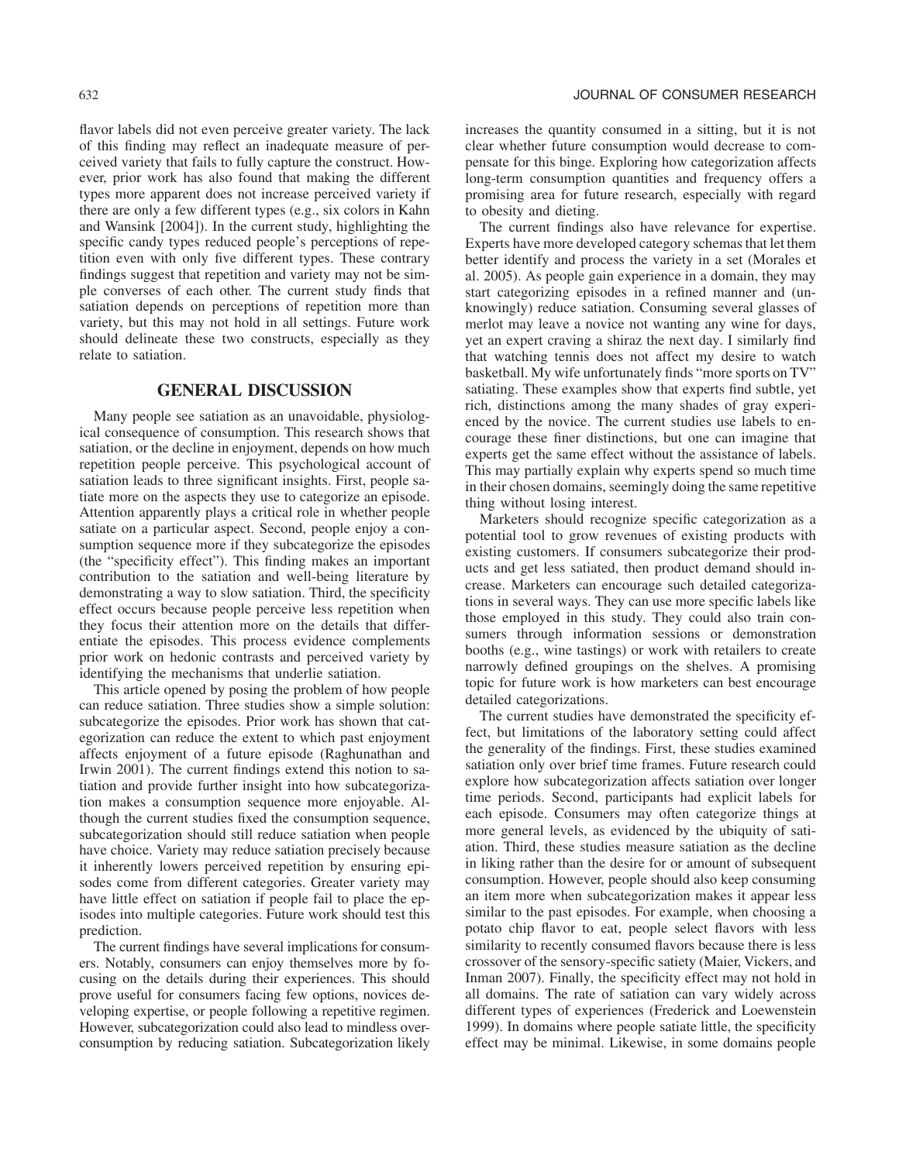flavor labels did not even perceive greater variety. The lack of this finding may reflect an inadequate measure of perceived variety that fails to fully capture the construct. However, prior work has also found that making the different types more apparent does not increase perceived variety if there are only a few different types (e.g., six colors in Kahn and Wansink [2004]). In the current study, highlighting the specific candy types reduced people's perceptions of repetition even with only five different types. These contrary findings suggest that repetition and variety may not be simple converses of each other. The current study finds that satiation depends on perceptions of repetition more than variety, but this may not hold in all settings. Future work should delineate these two constructs, especially as they relate to satiation.

## **GENERAL DISCUSSION**

Many people see satiation as an unavoidable, physiological consequence of consumption. This research shows that satiation, or the decline in enjoyment, depends on how much repetition people perceive. This psychological account of satiation leads to three significant insights. First, people satiate more on the aspects they use to categorize an episode. Attention apparently plays a critical role in whether people satiate on a particular aspect. Second, people enjoy a consumption sequence more if they subcategorize the episodes (the "specificity effect"). This finding makes an important contribution to the satiation and well-being literature by demonstrating a way to slow satiation. Third, the specificity effect occurs because people perceive less repetition when they focus their attention more on the details that differentiate the episodes. This process evidence complements prior work on hedonic contrasts and perceived variety by identifying the mechanisms that underlie satiation.

This article opened by posing the problem of how people can reduce satiation. Three studies show a simple solution: subcategorize the episodes. Prior work has shown that categorization can reduce the extent to which past enjoyment affects enjoyment of a future episode (Raghunathan and Irwin 2001). The current findings extend this notion to satiation and provide further insight into how subcategorization makes a consumption sequence more enjoyable. Although the current studies fixed the consumption sequence, subcategorization should still reduce satiation when people have choice. Variety may reduce satiation precisely because it inherently lowers perceived repetition by ensuring episodes come from different categories. Greater variety may have little effect on satiation if people fail to place the episodes into multiple categories. Future work should test this prediction.

The current findings have several implications for consumers. Notably, consumers can enjoy themselves more by focusing on the details during their experiences. This should prove useful for consumers facing few options, novices developing expertise, or people following a repetitive regimen. However, subcategorization could also lead to mindless overconsumption by reducing satiation. Subcategorization likely increases the quantity consumed in a sitting, but it is not clear whether future consumption would decrease to compensate for this binge. Exploring how categorization affects long-term consumption quantities and frequency offers a promising area for future research, especially with regard to obesity and dieting.

The current findings also have relevance for expertise. Experts have more developed category schemas that let them better identify and process the variety in a set (Morales et al. 2005). As people gain experience in a domain, they may start categorizing episodes in a refined manner and (unknowingly) reduce satiation. Consuming several glasses of merlot may leave a novice not wanting any wine for days, yet an expert craving a shiraz the next day. I similarly find that watching tennis does not affect my desire to watch basketball. My wife unfortunately finds "more sports on TV" satiating. These examples show that experts find subtle, yet rich, distinctions among the many shades of gray experienced by the novice. The current studies use labels to encourage these finer distinctions, but one can imagine that experts get the same effect without the assistance of labels. This may partially explain why experts spend so much time in their chosen domains, seemingly doing the same repetitive thing without losing interest.

Marketers should recognize specific categorization as a potential tool to grow revenues of existing products with existing customers. If consumers subcategorize their products and get less satiated, then product demand should increase. Marketers can encourage such detailed categorizations in several ways. They can use more specific labels like those employed in this study. They could also train consumers through information sessions or demonstration booths (e.g., wine tastings) or work with retailers to create narrowly defined groupings on the shelves. A promising topic for future work is how marketers can best encourage detailed categorizations.

The current studies have demonstrated the specificity effect, but limitations of the laboratory setting could affect the generality of the findings. First, these studies examined satiation only over brief time frames. Future research could explore how subcategorization affects satiation over longer time periods. Second, participants had explicit labels for each episode. Consumers may often categorize things at more general levels, as evidenced by the ubiquity of satiation. Third, these studies measure satiation as the decline in liking rather than the desire for or amount of subsequent consumption. However, people should also keep consuming an item more when subcategorization makes it appear less similar to the past episodes. For example, when choosing a potato chip flavor to eat, people select flavors with less similarity to recently consumed flavors because there is less crossover of the sensory-specific satiety (Maier, Vickers, and Inman 2007). Finally, the specificity effect may not hold in all domains. The rate of satiation can vary widely across different types of experiences (Frederick and Loewenstein 1999). In domains where people satiate little, the specificity effect may be minimal. Likewise, in some domains people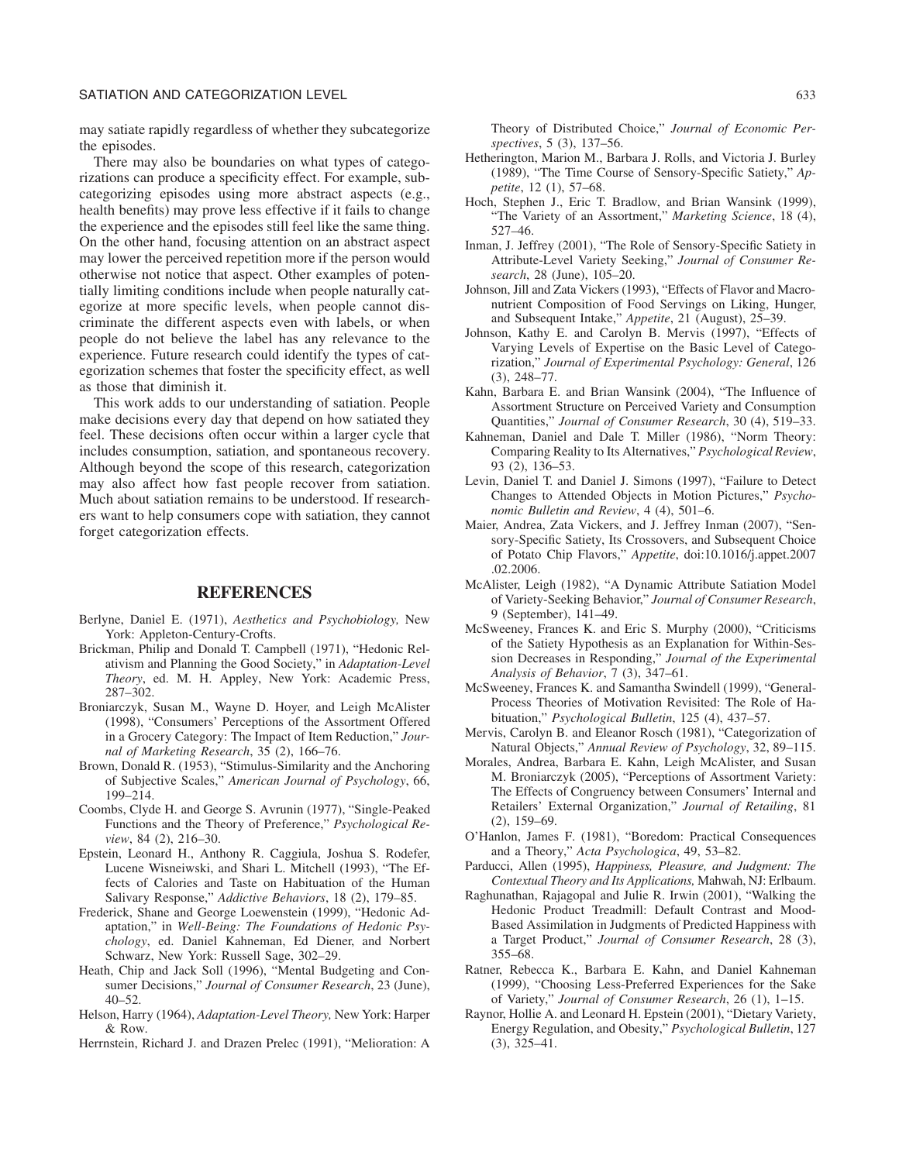may satiate rapidly regardless of whether they subcategorize the episodes.

There may also be boundaries on what types of categorizations can produce a specificity effect. For example, subcategorizing episodes using more abstract aspects (e.g., health benefits) may prove less effective if it fails to change the experience and the episodes still feel like the same thing. On the other hand, focusing attention on an abstract aspect may lower the perceived repetition more if the person would otherwise not notice that aspect. Other examples of potentially limiting conditions include when people naturally categorize at more specific levels, when people cannot discriminate the different aspects even with labels, or when people do not believe the label has any relevance to the experience. Future research could identify the types of categorization schemes that foster the specificity effect, as well as those that diminish it.

This work adds to our understanding of satiation. People make decisions every day that depend on how satiated they feel. These decisions often occur within a larger cycle that includes consumption, satiation, and spontaneous recovery. Although beyond the scope of this research, categorization may also affect how fast people recover from satiation. Much about satiation remains to be understood. If researchers want to help consumers cope with satiation, they cannot forget categorization effects.

## **REFERENCES**

- Berlyne, Daniel E. (1971), *Aesthetics and Psychobiology,* New York: Appleton-Century-Crofts.
- Brickman, Philip and Donald T. Campbell (1971), "Hedonic Relativism and Planning the Good Society," in *Adaptation-Level Theory*, ed. M. H. Appley, New York: Academic Press, 287–302.
- Broniarczyk, Susan M., Wayne D. Hoyer, and Leigh McAlister (1998), "Consumers' Perceptions of the Assortment Offered in a Grocery Category: The Impact of Item Reduction," *Journal of Marketing Research*, 35 (2), 166–76.
- Brown, Donald R. (1953), "Stimulus-Similarity and the Anchoring of Subjective Scales," *American Journal of Psychology*, 66, 199–214.
- Coombs, Clyde H. and George S. Avrunin (1977), "Single-Peaked Functions and the Theory of Preference," *Psychological Review*, 84 (2), 216–30.
- Epstein, Leonard H., Anthony R. Caggiula, Joshua S. Rodefer, Lucene Wisneiwski, and Shari L. Mitchell (1993), "The Effects of Calories and Taste on Habituation of the Human Salivary Response," *Addictive Behaviors*, 18 (2), 179–85.
- Frederick, Shane and George Loewenstein (1999), "Hedonic Adaptation," in *Well-Being: The Foundations of Hedonic Psychology*, ed. Daniel Kahneman, Ed Diener, and Norbert Schwarz, New York: Russell Sage, 302–29.
- Heath, Chip and Jack Soll (1996), "Mental Budgeting and Consumer Decisions," *Journal of Consumer Research*, 23 (June), 40–52.
- Helson, Harry (1964), *Adaptation-Level Theory,* New York: Harper & Row.
- Herrnstein, Richard J. and Drazen Prelec (1991), "Melioration: A

Theory of Distributed Choice," *Journal of Economic Perspectives*, 5 (3), 137–56.

- Hetherington, Marion M., Barbara J. Rolls, and Victoria J. Burley (1989), "The Time Course of Sensory-Specific Satiety," *Appetite*, 12 (1), 57–68.
- Hoch, Stephen J., Eric T. Bradlow, and Brian Wansink (1999), "The Variety of an Assortment," *Marketing Science*, 18 (4), 527–46.
- Inman, J. Jeffrey (2001), "The Role of Sensory-Specific Satiety in Attribute-Level Variety Seeking," *Journal of Consumer Research*, 28 (June), 105–20.
- Johnson, Jill and Zata Vickers (1993), "Effects of Flavor and Macronutrient Composition of Food Servings on Liking, Hunger, and Subsequent Intake," *Appetite*, 21 (August), 25–39.
- Johnson, Kathy E. and Carolyn B. Mervis (1997), "Effects of Varying Levels of Expertise on the Basic Level of Categorization," *Journal of Experimental Psychology: General*, 126 (3), 248–77.
- Kahn, Barbara E. and Brian Wansink (2004), "The Influence of Assortment Structure on Perceived Variety and Consumption Quantities," *Journal of Consumer Research*, 30 (4), 519–33.
- Kahneman, Daniel and Dale T. Miller (1986), "Norm Theory: Comparing Reality to Its Alternatives," *Psychological Review*, 93 (2), 136–53.
- Levin, Daniel T. and Daniel J. Simons (1997), "Failure to Detect Changes to Attended Objects in Motion Pictures," *Psychonomic Bulletin and Review*, 4 (4), 501–6.
- Maier, Andrea, Zata Vickers, and J. Jeffrey Inman (2007), "Sensory-Specific Satiety, Its Crossovers, and Subsequent Choice of Potato Chip Flavors," *Appetite*, doi:10.1016/j.appet.2007 .02.2006.
- McAlister, Leigh (1982), "A Dynamic Attribute Satiation Model of Variety-Seeking Behavior," *Journal of Consumer Research*, 9 (September), 141–49.
- McSweeney, Frances K. and Eric S. Murphy (2000), "Criticisms of the Satiety Hypothesis as an Explanation for Within-Session Decreases in Responding," *Journal of the Experimental Analysis of Behavior*, 7 (3), 347–61.
- McSweeney, Frances K. and Samantha Swindell (1999), "General-Process Theories of Motivation Revisited: The Role of Habituation," *Psychological Bulletin*, 125 (4), 437–57.
- Mervis, Carolyn B. and Eleanor Rosch (1981), "Categorization of Natural Objects," *Annual Review of Psychology*, 32, 89–115.
- Morales, Andrea, Barbara E. Kahn, Leigh McAlister, and Susan M. Broniarczyk (2005), "Perceptions of Assortment Variety: The Effects of Congruency between Consumers' Internal and Retailers' External Organization," *Journal of Retailing*, 81 (2), 159–69.
- O'Hanlon, James F. (1981), "Boredom: Practical Consequences and a Theory," *Acta Psychologica*, 49, 53–82.
- Parducci, Allen (1995), *Happiness, Pleasure, and Judgment: The Contextual Theory and Its Applications,* Mahwah, NJ: Erlbaum.
- Raghunathan, Rajagopal and Julie R. Irwin (2001), "Walking the Hedonic Product Treadmill: Default Contrast and Mood-Based Assimilation in Judgments of Predicted Happiness with a Target Product," *Journal of Consumer Research*, 28 (3), 355–68.
- Ratner, Rebecca K., Barbara E. Kahn, and Daniel Kahneman (1999), "Choosing Less-Preferred Experiences for the Sake of Variety," *Journal of Consumer Research*, 26 (1), 1–15.
- Raynor, Hollie A. and Leonard H. Epstein (2001), "Dietary Variety, Energy Regulation, and Obesity," *Psychological Bulletin*, 127 (3), 325–41.